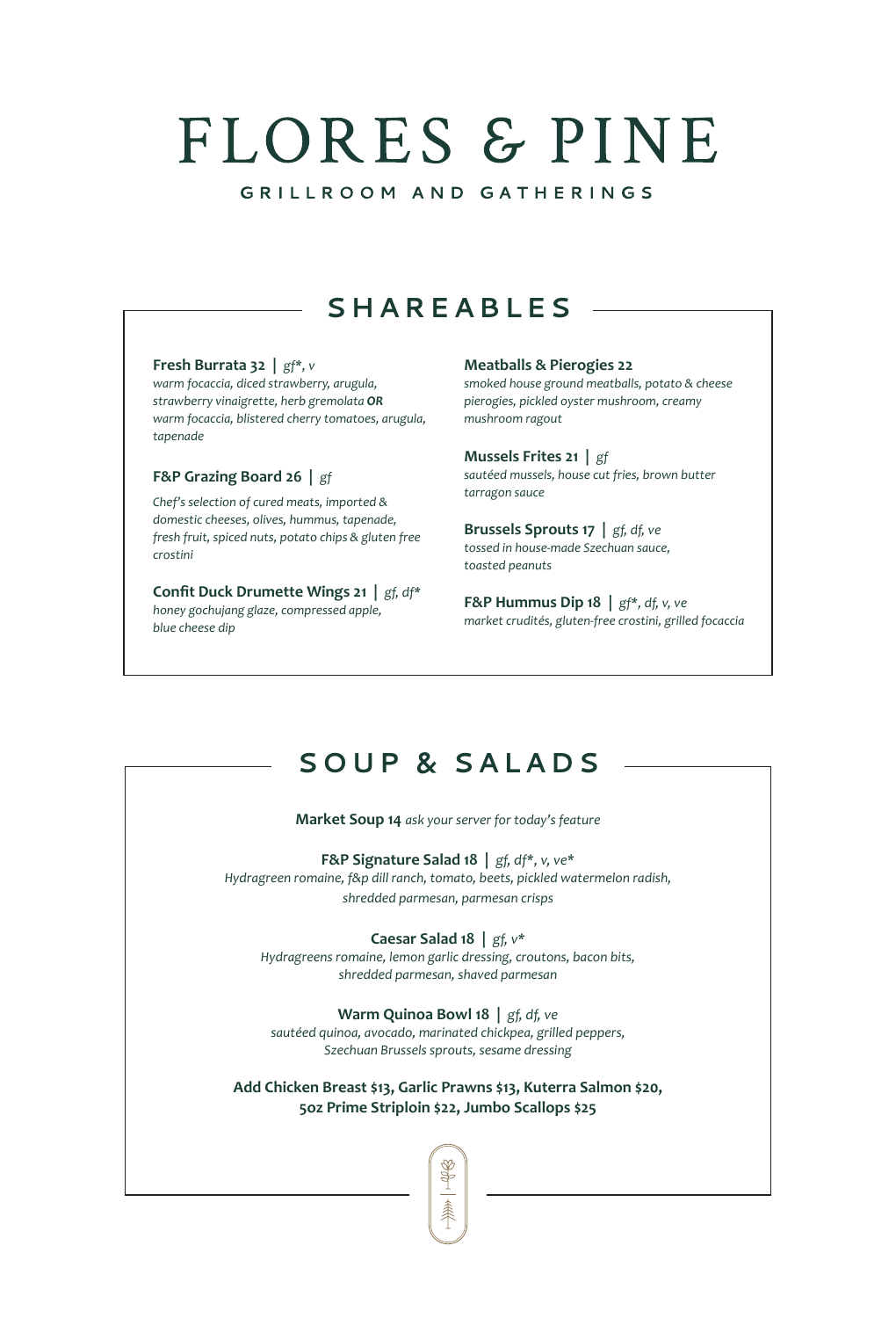# FLORES & PINE

GRILLROOM AND GATHERINGS

### **SHAREABLES**

### **Fresh Burrata 32 |** *gf\*, v*

*warm focaccia, diced strawberry, arugula, strawberry vinaigrette, herb gremolata OR warm focaccia, blistered cherry tomatoes, arugula, tapenade*

### **F&P Grazing Board 26 |** *gf*

*Chef's selection of cured meats, imported & domestic cheeses, olives, hummus, tapenade, fresh fruit, spiced nuts, potato chips & gluten free crostini*

**Confit Duck Drumette Wings 21 |** *gf, df\* honey gochujang glaze, compressed apple, blue cheese dip*

### **Meatballs & Pierogies 22**

*smoked house ground meatballs, potato & cheese pierogies, pickled oyster mushroom, creamy mushroom ragout*

#### **Mussels Frites 21 |** *gf sautéed mussels, house cut fries, brown butter tarragon sauce*

**Brussels Sprouts 17 |** *gf, df, ve tossed in house-made Szechuan sauce, toasted peanuts* 

**F&P Hummus Dip 18 |** *gf\*, df, v, ve market crudités, gluten-free crostini, grilled focaccia*

### **SOUP & SALADS**

**Market Soup 14** *ask your server for today's feature* 

**F&P Signature Salad 18 |** *gf, df\*, v, ve\**

*Hydragreen romaine, f&p dill ranch, tomato, beets, pickled watermelon radish, shredded parmesan, parmesan crisps*

**Caesar Salad 18 |** *gf, v\**

*Hydragreens romaine, lemon garlic dressing, croutons, bacon bits, shredded parmesan, shaved parmesan*

### **Warm Quinoa Bowl 18 |** *gf, df, ve*

*sautéed quinoa, avocado, marinated chickpea, grilled peppers, Szechuan Brussels sprouts, sesame dressing* 

**Add Chicken Breast \$13, Garlic Prawns \$13, Kuterra Salmon \$20, 5oz Prime Striploin \$22, Jumbo Scallops \$25**